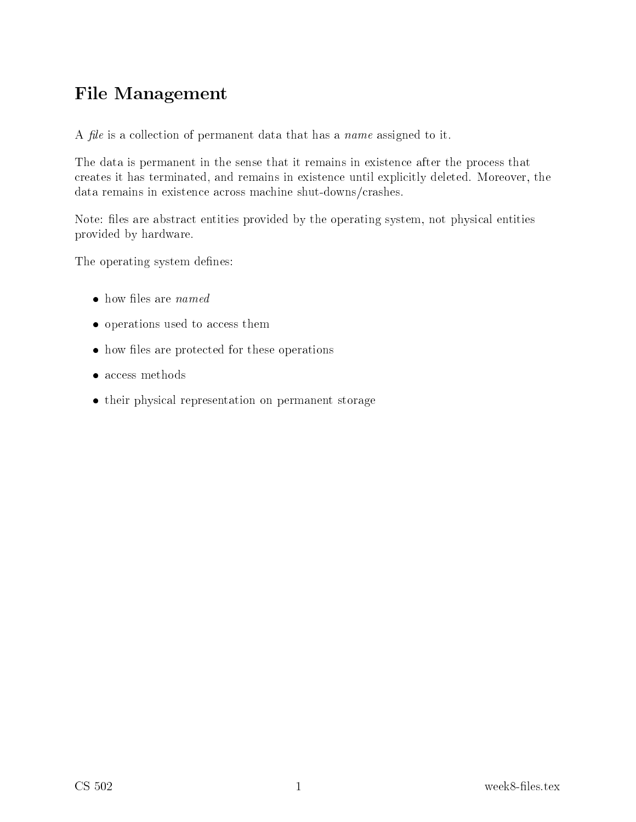# File Management

A *file* is a collection of permanent data that has a *name* assigned to it.

The data is permanent in the sense that it remains in existence after the process that reates it has terminated, and remains in existen
e until expli
itly deleted. Moreover, the data remains in existence across machine shut-downs/crashes.

Note: files are abstract entities provided by the operating system, not physical entities provided by hardware.

The operating system defines:

- 
- operations used to access them
- how files are protected for these operations
- access methods
- their physical representation on permanent storage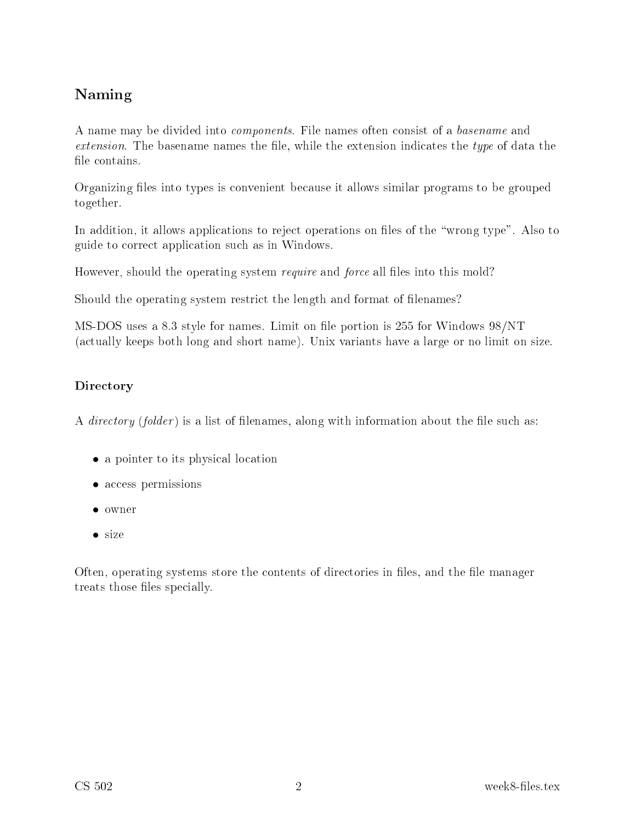## Naming

A name may be divided into *components*. File names often consist of a basename and  $extension.$  The basename names the file, while the extension indicates the type of data the file contains.

Organizing files into types is convenient because it allows similar programs to be grouped together.

In addition, it allows applications to reject operations on files of the "wrong type". Also to guide to orre
t appli
ation su
h as in Windows.

However, should the operating system *require* and *force* all files into this mold?

Should the operating system restrict the length and format of filenames?

MS-DOS uses <sup>a</sup> 8.3 style for names. Limit on le portion is <sup>255</sup> for Windows 98/NT (a
tually keeps both long and short name). Unix variants have a large or no limit on size.

### Directory

A *directory* (folder) is a list of filenames, along with information about the file such as:

- a pointer to its physical location
- access permissions
- owner
- size

Often, operating systems store the contents of directories in files, and the file manager treats those files specially.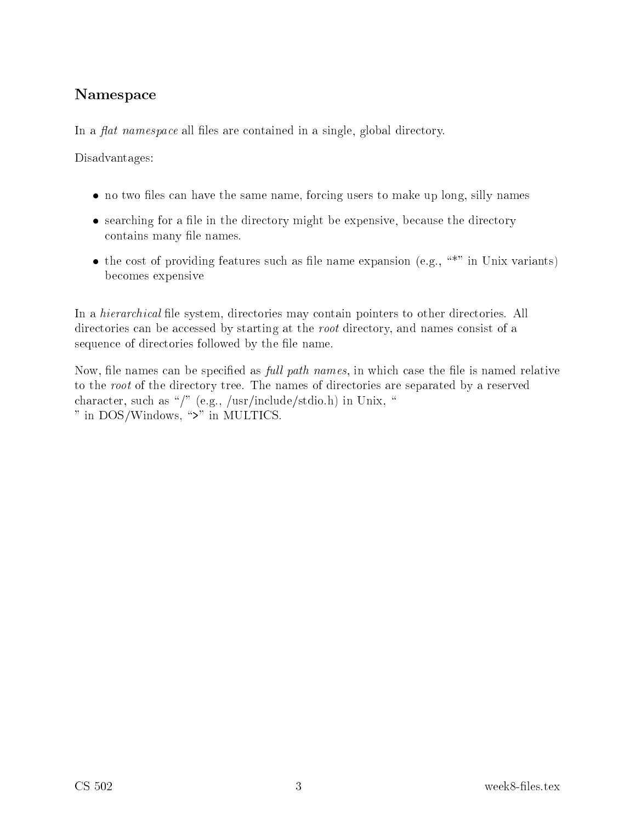## Namespa
e

In a *flat namespace* all files are contained in a single, global directory.

Disadvantages:

- no two files can have the same name, forcing users to make up long, silly names
- searching for a file in the directory might be expensive, because the directory contains many file names.
- the cost of providing features such as file name expansion (e.g.,  $\cdot$ "" in Unix variants) be
omes expensive

In a *hierarchical* file system, directories may contain pointers to other directories. All directories can be accessed by starting at the root directory, and names consist of a sequence of directories followed by the file name.

Now, file names can be specified as *full path names*, in which case the file is named relative to the root of the directory tree. The names of directories are separated by a reserved character, such as "/" (e.g., /usr/include/stdio.h) in Unix, " " in DOS/Windows, ">" in MULTICS.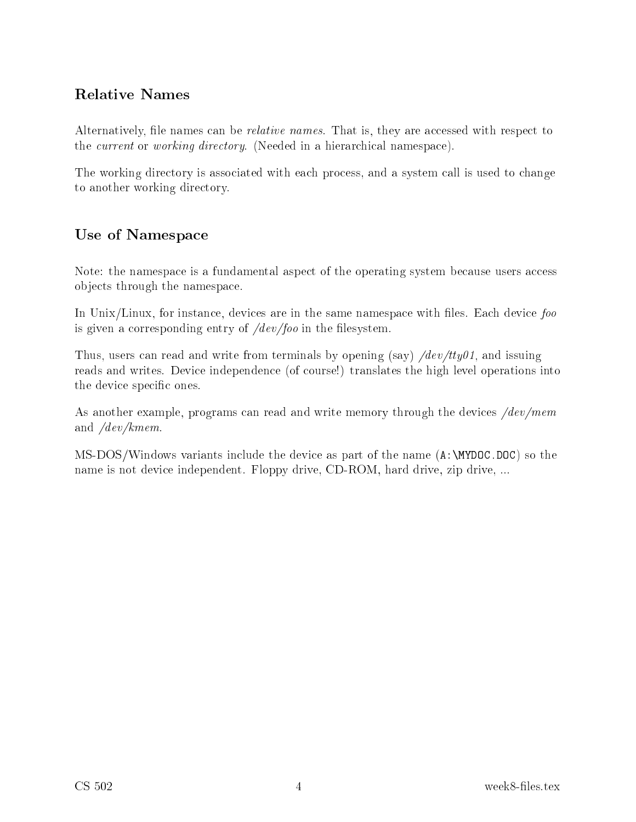## Relative Names

Alternatively, file names can be *relative names*. That is, they are accessed with respect to the *current* or *working directory*. (Needed in a hierarchical namespace).

The working directory is associated with each process, and a system call is used to change to another working dire
tory.

## Use of Namespa
e

Note: the namespace is a fundamental aspect of the operating system because users access obje
ts through the namespa
e.

In Unix/Linux, for instance, devices are in the same namespace with files. Each device foo is given a corresponding entry of  $/dev/foo$  in the filesystem.

Thus, users can read and write from terminals by opening (say)  $\sqrt{dev/tty01}$ , and issuing reads and writes. Device independence (of course!) translates the high level operations into the device specific ones.

As another example, programs can read and write memory through the devices  $/dev/mem$ and /dev/kmem.

MS-DOS/Windows variants include the device as part of the name  $(A:\M{MYDOC.DOC})$  so the name is not devi
e independent. Floppy drive, CD-ROM, hard drive, zip drive, ...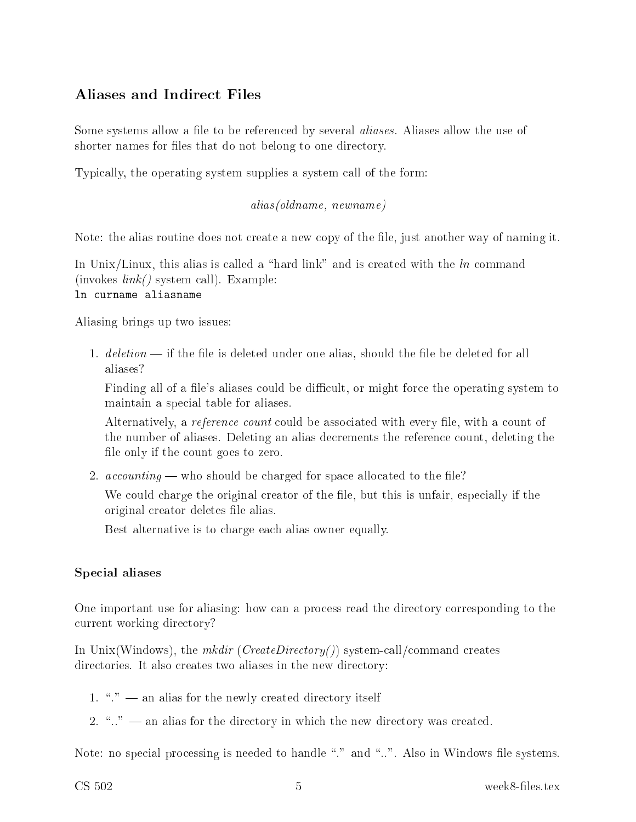## Aliases and Indire
t Files

Some systems allow a file to be referenced by several *aliases*. Aliases allow the use of shorter names for files that do not belong to one directory.

Typi
ally, the operating system supplies a system all of the form:

#### alias(oldname, newname)

Note: the alias routine does not create a new copy of the file, just another way of naming it.

In Unix/Linux, this alias is called a "hard link" and is created with the  $ln$  command  $(invokes \ link()$  system call). Example: ln urname aliasname

Aliasing brings up two issues:

1.  $deletion$  — if the file is deleted under one alias, should the file be deleted for all aliases?

Finding all of a file's aliases could be difficult, or might force the operating system to maintain a spe
ial table for aliases.

Alternatively, a *reference count* could be associated with every file, with a count of the number of aliases. Deleting an alias de
rements the referen
e ount, deleting the file only if the count goes to zero.

2.  $accounting$  — who should be charged for space allocated to the file?

We could charge the original creator of the file, but this is unfair, especially if the original reator deletes le alias.

Best alternative is to harge ea
h alias owner equally.

### Spe
ial aliases

One important use for aliasing: how can a process read the directory corresponding to the urrent working dire
tory?

In Unix (Windows), the mkdir (CreateDirectory()) system-call/command creates directories. It also creates two aliases in the new directory:

- 1. " $\cdot$ "  $\cdot$  an alias for the newly created directory itself
- 2. " $\ldots$ " an alias for the directory in which the new directory was created.

Note: no special processing is needed to handle "." and "..". Also in Windows file systems.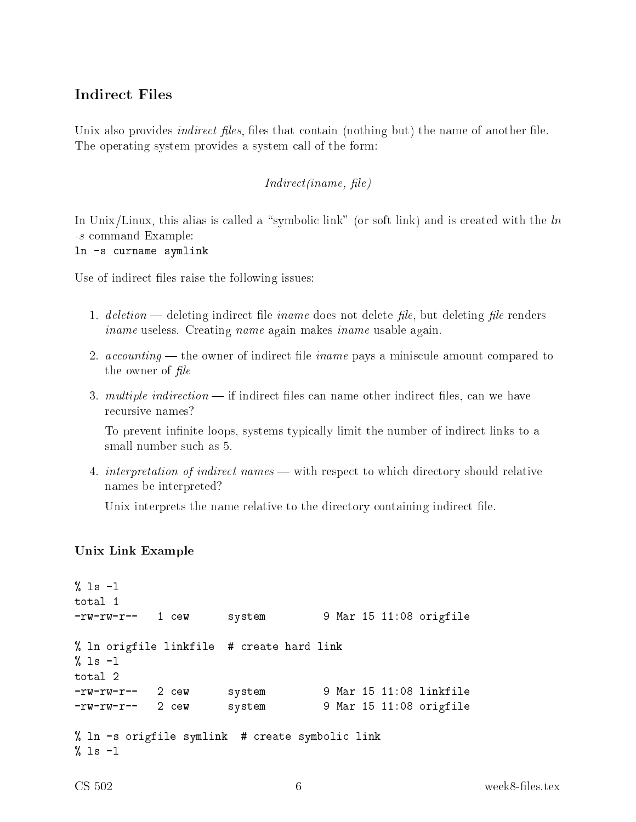### Indire
t Files

Unix also provides *indirect files*, files that contain (nothing but) the name of another file. The operating system provides a system call of the form:

#### Indire
t(iname, le)

In Unix/Linux, this alias is called a "symbolic link" (or soft link) and is created with the  $\ln$ -s ommand Example:

ln -s urname symlink

Use of indirect files raise the following issues:

- 1. deletion deleting indirect file *iname* does not delete *file*, but deleting *file* renders iname useless. Creating name again makes iname usable again.
- 2.  $accounting$  the owner of indirect file *iname* pays a miniscule amount compared to the owner of  $file$
- 3. *multiple indirection*  $\longrightarrow$  if indirect files can name other indirect files, can we have recursive names?

To prevent infinite loops, systems typically limit the number of indirect links to a small number su
h as 5.

4. interpretation of indirect names — with respect to which directory should relative names be interpreted?

Unix interprets the name relative to the directory containing indirect file.

#### Unix Link Example

```
% ls -1total 1
-rw-rw-r-- 1 
ew system 9 Mar 15 11:08 origfile
% ln origfile linkfile # 
reate hard link
% 1s -1total 2
-rw-rw-r-- 2 
ew system 9 Mar 15 11:08 linkfile
-rw-rw-r-- 2 
ew system 9 Mar 15 11:08 origfile
% ln -s origfile symlink # create symbolic link
% ls -1
```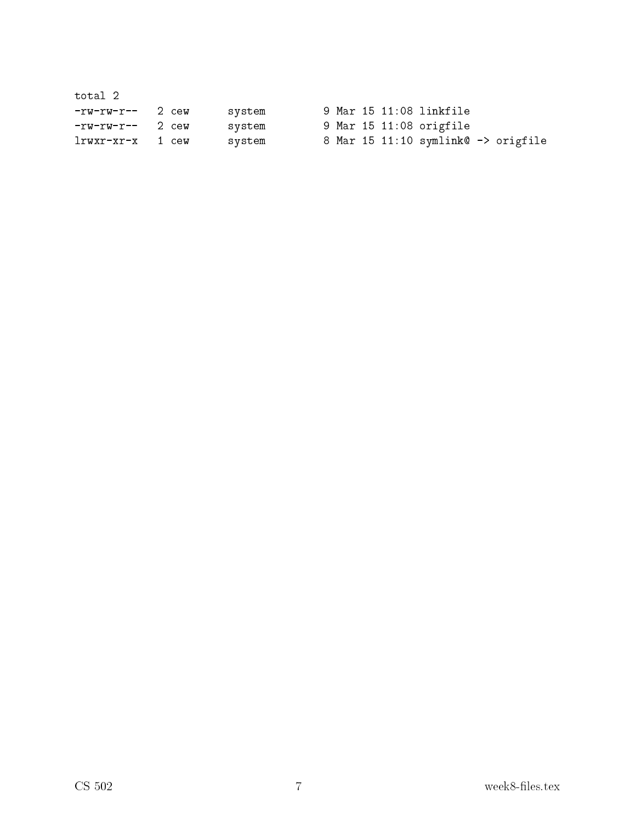| total 2             |  |        |  |  |                                     |  |
|---------------------|--|--------|--|--|-------------------------------------|--|
| $-rw-rw-r--$ 2 $cw$ |  | system |  |  | 9 Mar 15 11:08 linkfile             |  |
| $-rw-rw-r--$ 2 $cw$ |  | system |  |  | 9 Mar 15 11:08 origfile             |  |
| lrwxr-xr-x 1 cew    |  | system |  |  | 8 Mar 15 11:10 symlink@ -> origfile |  |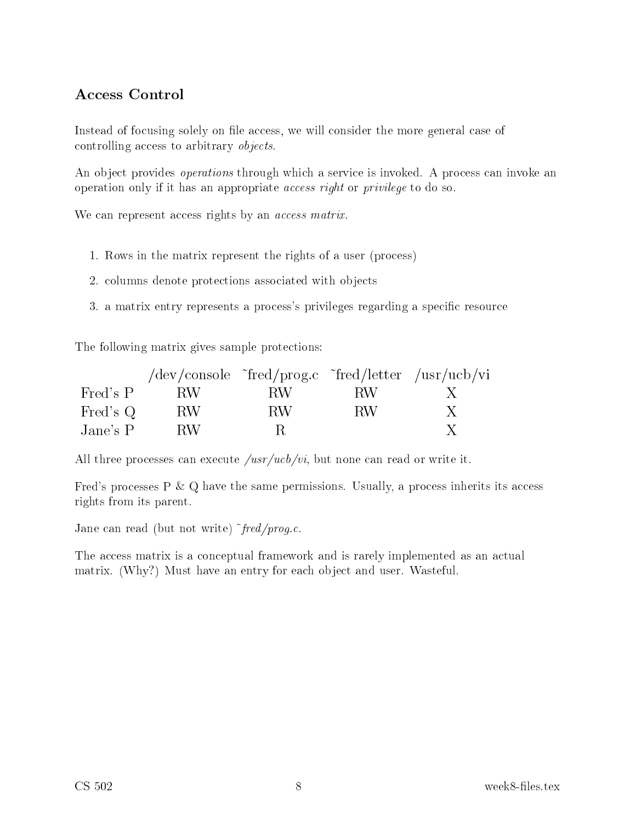## Access Control

Instead of focusing solely on file access, we will consider the more general case of controlling access to arbitrary *objects*.

An object provides *operations* through which a service is invoked. A process can invoke an operation only if it has an appropriate *access right* or *privilege* to do so.

We can represent access rights by an *access matrix*.

- 1. Rows in the matrix represent the rights of a user (pro
ess)
- 2. olumns denote prote
tions asso
iated with obje
ts
- 3. a matrix entry represents a process's privileges regarding a specific resource

The following matrix gives sample protections:

|          | /dev/console <sup>r</sup> fred/prog.c <sup>r</sup> fred/letter /usr/ucb/vi |     |     |   |
|----------|----------------------------------------------------------------------------|-----|-----|---|
| Fred's P | -RW                                                                        | RW. | RW. | X |
| Fred's Q | RW.                                                                        | RW. | RW. | X |
| Jane's P | BW.                                                                        |     |     |   |

All three processes can execute  $/usr/ucb/vi$ , but none can read or write it.

Fred's processes  $P \& Q$  have the same permissions. Usually, a process inherits its access rights from its parent.

Jane can read (but not write)  $\tilde{\tau}$  *red/prog.c.* 

The access matrix is a conceptual framework and is rarely implemented as an actual matrix. (Why?) Must have an entry for each object and user. Wasteful.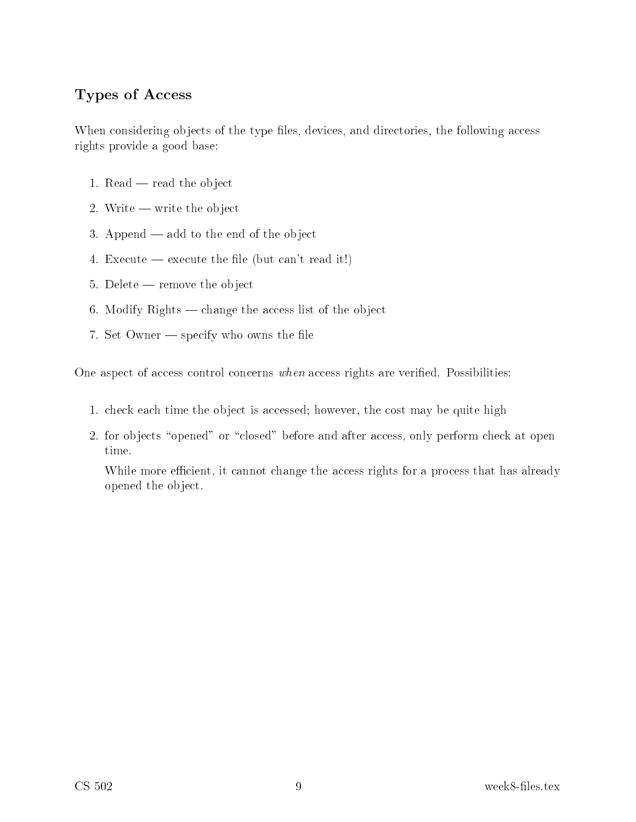### Types of Access

When considering objects of the type files, devices, and directories, the following access rights provide a good base:

- 1. Read  $-$  read the object
- 2. Write  $-$  write the object
- 3. Append  $-$  add to the end of the object
- 4. Execute execute the file (but can't read it!)
- $5.$  Delete remove the object
- 6. Modify Rights  $-$  change the access list of the object
- 7. Set Owner  $-$  specify who owns the file

One aspect of access control concerns when access rights are verified. Possibilities:

- 1. check each time the object is accessed; however, the cost may be quite high
- 2. for objects "opened" or "closed" before and after access, only perform check at open time.

While more efficient, it cannot change the access rights for a process that has already opened the obje
t.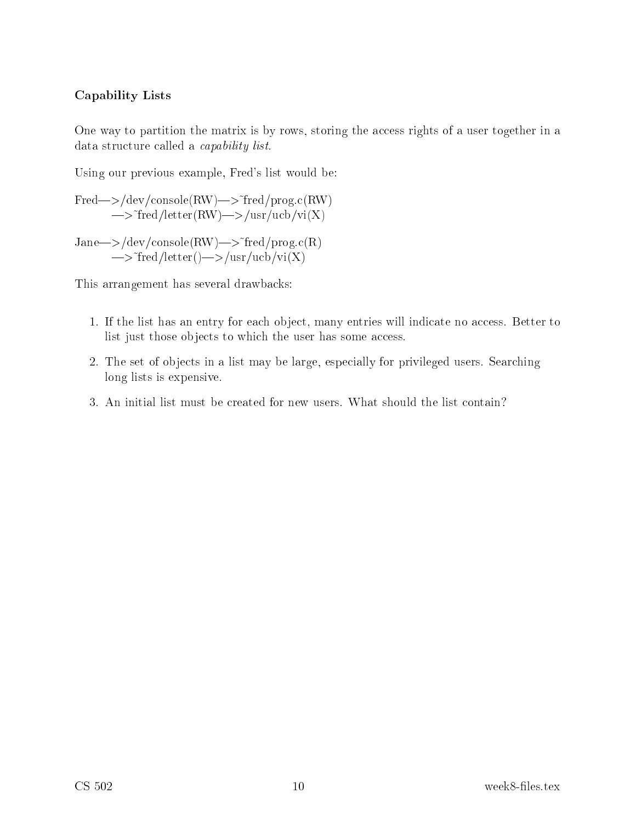### Capability Lists

One way to partition the matrix is by rows, storing the access rights of a user together in a data structure called a *capability list*.

Using our previous example, Fred's list would be:

 $Fred \rightarrow /dev/console(RW) \rightarrow \text{``fred}/prog.c(RW)$  $\rightarrow$  fred/letter(RW)  $\rightarrow$ /usr/ucb/vi(X)

 $Jane\rightarrow/dev/console(RW)\rightarrow$  fred/prog.c(R)  $\rightarrow$  fred/letter()  $\rightarrow$  /usr/ucb/vi(X)

This arrangement has several drawba
ks:

- 1. If the list has an entry for each object, many entries will indicate no access. Better to list just those objects to which the user has some access.
- 2. The set of objects in a list may be large, especially for privileged users. Searching long lists is expensive.
- 3. An initial list must be reated for new users. What should the list ontain?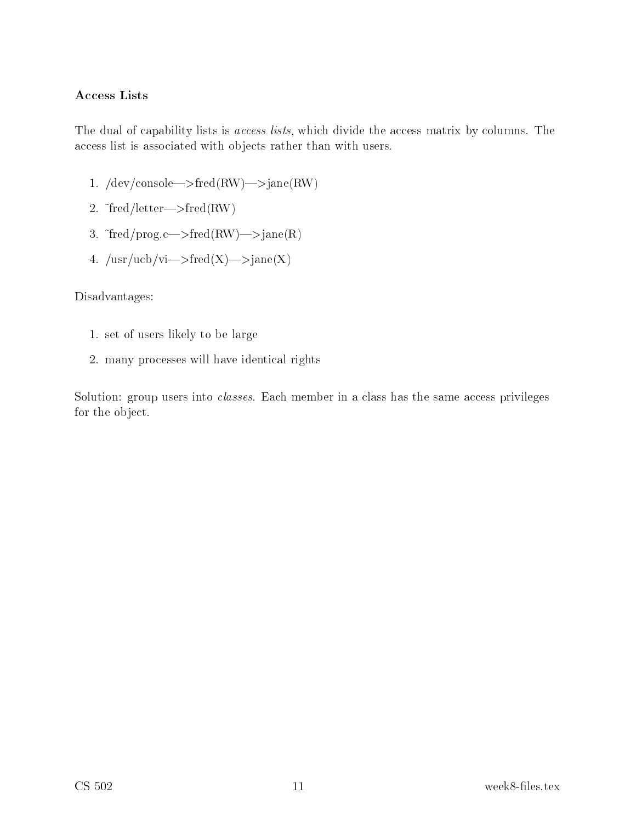### Access Lists

The dual of capability lists is *access lists*, which divide the access matrix by columns. The access list is associated with objects rather than with users.

- 1.  $/\text{dev}/\text{console}\rightarrow \text{fred}(RW)\rightarrow \text{Jane}(RW)$
- 2.  $\text{``fred/letter}\rightarrow \text{fred}(RW)$
- 3.  $\text{``fred/prog.c}{\Longrightarrow}\text{fred(RW)}{\Longrightarrow}\text{Jane(R)}$
- 4.  $/\text{usr}/\text{ucb}/\text{vi}\rightarrow \text{fred}(X)\rightarrow \text{Jane}(X)$

Disadvantages:

- 1. set of users likely to be large
- 2. many pro
esses will have identi
al rights

Solution: group users into *classes*. Each member in a class has the same access privileges for the obje
t.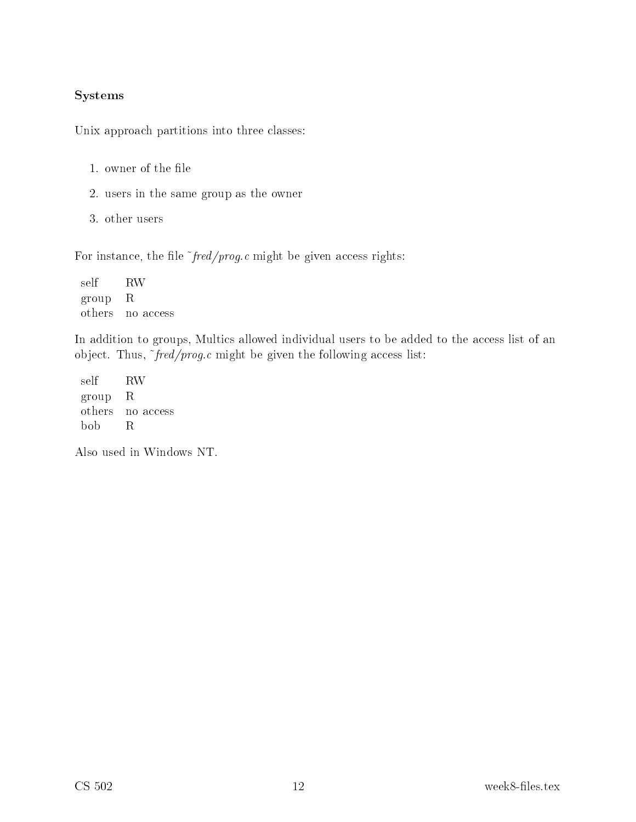#### Systems

Unix approach partitions into three classes:

- 1. owner of the file
- 2. users in the same group as the owner
- 3. other users

For instance, the file  $\tilde{\tau}$  *fred/prog.c* might be given access rights:

self RW group R others no access

In addition to groups, Multics allowed individual users to be added to the access list of an object. Thus,  $\tilde{\tau}$  *fred/prog.c* might be given the following access list:

self RW group R others no access bob R

Also used in Windows NT.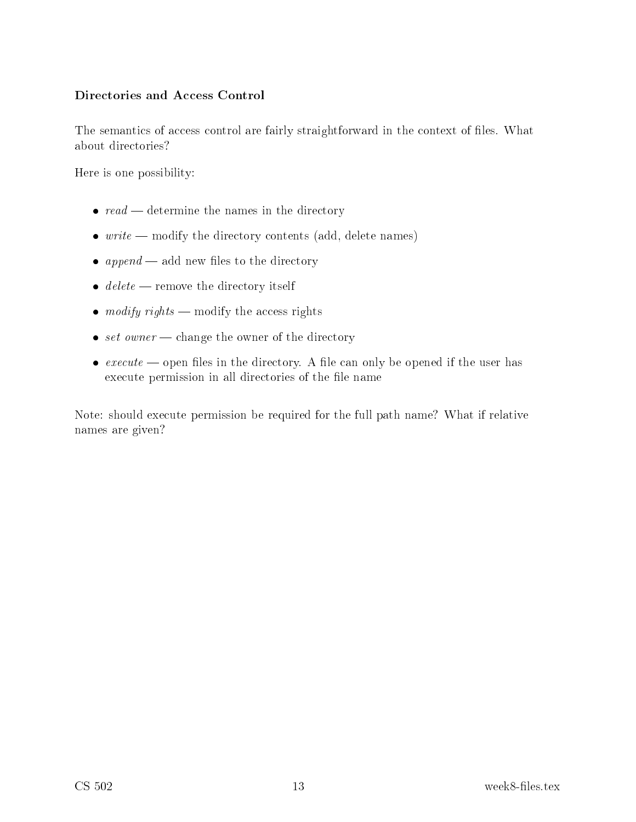### Directories and Access Control

The semantics of access control are fairly straightforward in the context of files. What about dire
tories?

Here is one possibility:

- $read$  determine the names in the directory
- $\bullet$  write modify the directory contents (add, delete names)
- $append$  add new files to the directory
- $\bullet$  delete remove the directory itself
- modify rights modify the access rights
- set owner change the owner of the directory
- $execute$  open files in the directory. A file can only be opened if the user has execute permission in all directories of the file name

Note: should execute permission be required for the full path name? What if relative names are given?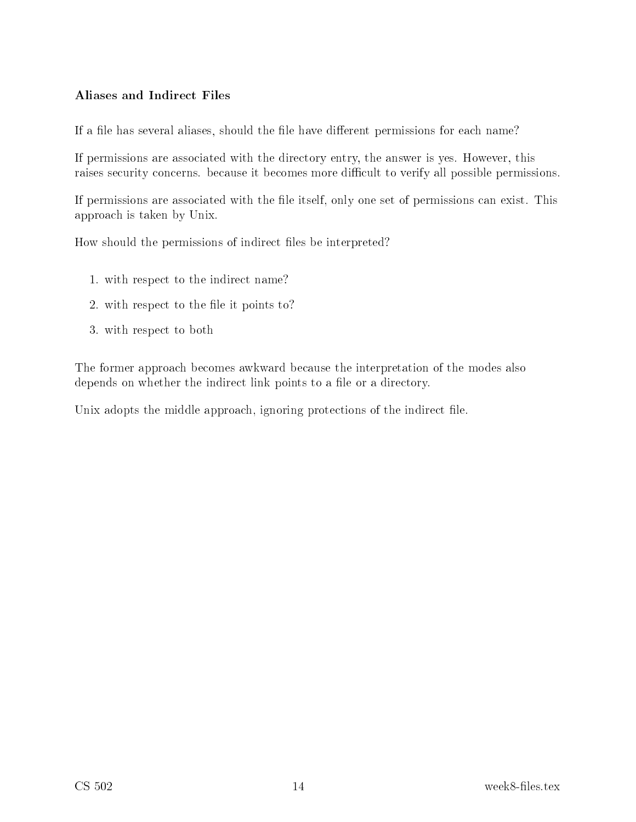### Aliases and Indire
t Files

If a file has several aliases, should the file have different permissions for each name?

If permissions are asso
iated with the dire
tory entry, the answer is yes. However, this raises security concerns. because it becomes more difficult to verify all possible permissions.

If permissions are associated with the file itself, only one set of permissions can exist. This approa
h is taken by Unix.

How should the permissions of indirect files be interpreted?

- 1. with respe
t to the indire
t name?
- 2. with respect to the file it points to?
- 3. with respe
t to both

The former approa
h be
omes awkward be
ause the interpretation of the modes also depends on whether the indirect link points to a file or a directory.

Unix adopts the middle approach, ignoring protections of the indirect file.